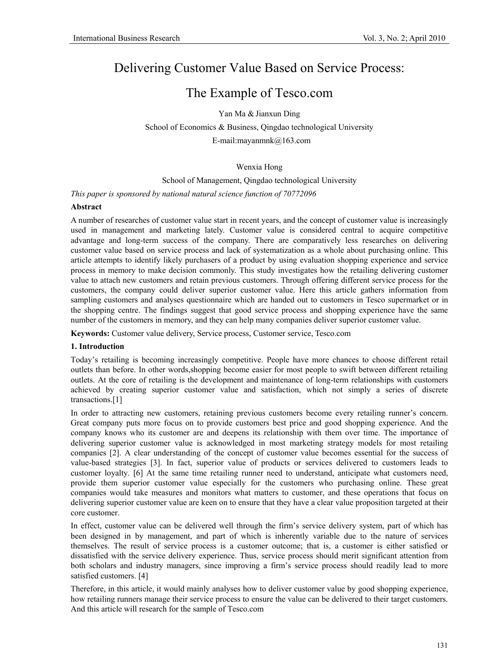# Delivering Customer Value Based on Service Process:

# The Example of Tesco.com

Yan Ma & Jianxun Ding

School of Economics & Business, Qingdao technological University E-mail:mayanmnk@163.com

## Wenxia Hong

School of Management, Qingdao technological University

*This paper is sponsored by national natural science function of 70772096* 

## **Abstract**

A number of researches of customer value start in recent years, and the concept of customer value is increasingly used in management and marketing lately. Customer value is considered central to acquire competitive advantage and long-term success of the company. There are comparatively less researches on delivering customer value based on service process and lack of systematization as a whole about purchasing online. This article attempts to identify likely purchasers of a product by using evaluation shopping experience and service process in memory to make decision commonly. This study investigates how the retailing delivering customer value to attach new customers and retain previous customers. Through offering different service process for the customers, the company could deliver superior customer value. Here this article gathers information from sampling customers and analyses questionnaire which are handed out to customers in Tesco supermarket or in the shopping centre. The findings suggest that good service process and shopping experience have the same number of the customers in memory, and they can help many companies deliver superior customer value.

**Keywords:** Customer value delivery, Service process, Customer service, Tesco.com

## **1. Introduction**

Today's retailing is becoming increasingly competitive. People have more chances to choose different retail outlets than before. In other words,shopping become easier for most people to swift between different retailing outlets. At the core of retailing is the development and maintenance of long-term relationships with customers achieved by creating superior customer value and satisfaction, which not simply a series of discrete transactions.[1]

In order to attracting new customers, retaining previous customers become every retailing runner's concern. Great company puts more focus on to provide customers best price and good shopping experience. And the company knows who its customer are and deepens its relationship with them over time. The importance of delivering superior customer value is acknowledged in most marketing strategy models for most retailing companies [2]. A clear understanding of the concept of customer value becomes essential for the success of value-based strategies [3]. In fact, superior value of products or services delivered to customers leads to customer loyalty. [6] At the same time retailing runner need to understand, anticipate what customers need, provide them superior customer value especially for the customers who purchasing online. These great companies would take measures and monitors what matters to customer, and these operations that focus on delivering superior customer value are keen on to ensure that they have a clear value proposition targeted at their core customer.

In effect, customer value can be delivered well through the firm's service delivery system, part of which has been designed in by management, and part of which is inherently variable due to the nature of services themselves. The result of service process is a customer outcome; that is, a customer is either satisfied or dissatisfied with the service delivery experience. Thus, service process should merit significant attention from both scholars and industry managers, since improving a firm's service process should readily lead to more satisfied customers. [4]

Therefore, in this article, it would mainly analyses how to deliver customer value by good shopping experience, how retailing runners manage their service process to ensure the value can be delivered to their target customers. And this article will research for the sample of Tesco.com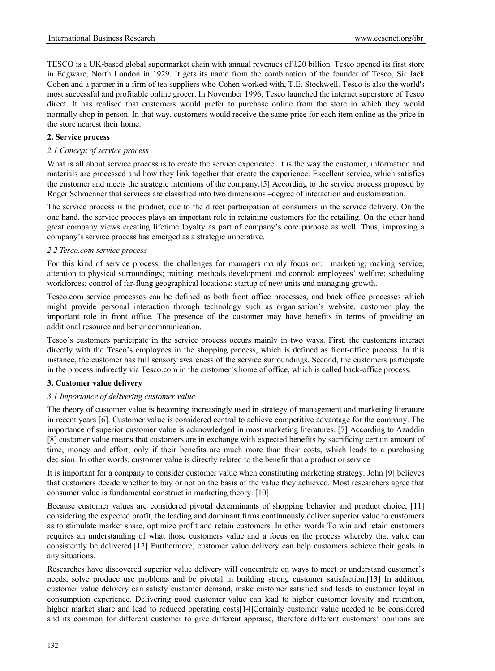TESCO is a UK-based global supermarket chain with annual revenues of £20 billion. Tesco opened its first store in Edgware, North London in 1929. It gets its name from the combination of the founder of Tesco, Sir Jack Cohen and a partner in a firm of tea suppliers who Cohen worked with, T.E. Stockwell. Tesco is also the world's most successful and profitable online grocer. In November 1996, Tesco launched the internet superstore of Tesco direct. It has realised that customers would prefer to purchase online from the store in which they would normally shop in person. In that way, customers would receive the same price for each item online as the price in the store nearest their home.

#### **2. Service process**

#### *2.1 Concept of service process*

What is all about service process is to create the service experience. It is the way the customer, information and materials are processed and how they link together that create the experience. Excellent service, which satisfies the customer and meets the strategic intentions of the company.[5] According to the service process proposed by Roger Schmenner that services are classified into two dimensions –degree of interaction and customization.

The service process is the product, due to the direct participation of consumers in the service delivery. On the one hand, the service process plays an important role in retaining customers for the retailing. On the other hand great company views creating lifetime loyalty as part of company's core purpose as well. Thus, improving a company's service process has emerged as a strategic imperative.

#### *2.2 Tesco.com service process*

For this kind of service process, the challenges for managers mainly focus on: marketing; making service; attention to physical surroundings; training; methods development and control; employees' welfare; scheduling workforces; control of far-flung geographical locations; startup of new units and managing growth.

Tesco.com service processes can be defined as both front office processes, and back office processes which might provide personal interaction through technology such as organisation's website, customer play the important role in front office. The presence of the customer may have benefits in terms of providing an additional resource and better communication.

Tesco's customers participate in the service process occurs mainly in two ways. First, the customers interact directly with the Tesco's employees in the shopping process, which is defined as front-office process. In this instance, the customer has full sensory awareness of the service surroundings. Second, the customers participate in the process indirectly via Tesco.com in the customer's home of office, which is called back-office process.

# **3. Customer value delivery**

## *3.1 Importance of delivering customer value*

The theory of customer value is becoming increasingly used in strategy of management and marketing literature in recent years [6]. Customer value is considered central to achieve competitive advantage for the company. The importance of superior customer value is acknowledged in most marketing literatures. [7] According to Azaddin [8] customer value means that customers are in exchange with expected benefits by sacrificing certain amount of time, money and effort, only if their benefits are much more than their costs, which leads to a purchasing decision. In other words, customer value is directly related to the benefit that a product or service

It is important for a company to consider customer value when constituting marketing strategy. John [9] believes that customers decide whether to buy or not on the basis of the value they achieved. Most researchers agree that consumer value is fundamental construct in marketing theory. [10]

Because customer values are considered pivotal determinants of shopping behavior and product choice, [11] considering the expected profit, the leading and dominant firms continuously deliver superior value to customers as to stimulate market share, optimize profit and retain customers. In other words To win and retain customers requires an understanding of what those customers value and a focus on the process whereby that value can consistently be delivered.[12] Furthermore, customer value delivery can help customers achieve their goals in any situations.

Researches have discovered superior value delivery will concentrate on ways to meet or understand customer's needs, solve produce use problems and be pivotal in building strong customer satisfaction.[13] In addition, customer value delivery can satisfy customer demand, make customer satisfied and leads to customer loyal in consumption experience. Delivering good customer value can lead to higher customer loyalty and retention, higher market share and lead to reduced operating costs[14]Certainly customer value needed to be considered and its common for different customer to give different appraise, therefore different customers' opinions are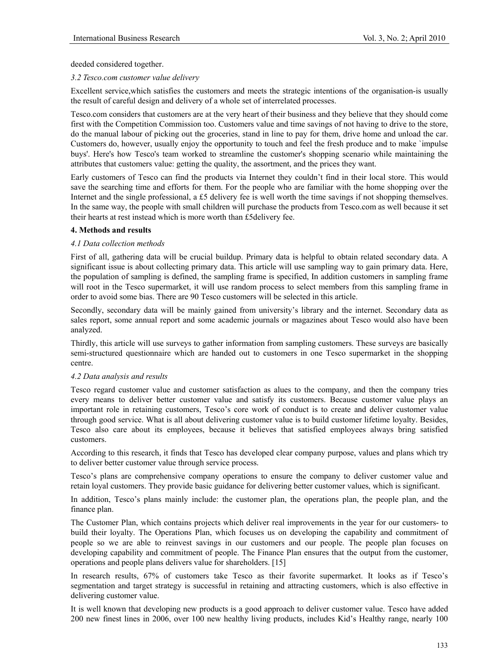deeded considered together.

### *3.2 Tesco.com customer value delivery*

Excellent service,which satisfies the customers and meets the strategic intentions of the organisation-is usually the result of careful design and delivery of a whole set of interrelated processes.

Tesco.com considers that customers are at the very heart of their business and they believe that they should come first with the Competition Commission too. Customers value and time savings of not having to drive to the store, do the manual labour of picking out the groceries, stand in line to pay for them, drive home and unload the car. Customers do, however, usually enjoy the opportunity to touch and feel the fresh produce and to make `impulse buys'. Here's how Tesco's team worked to streamline the customer's shopping scenario while maintaining the attributes that customers value: getting the quality, the assortment, and the prices they want.

Early customers of Tesco can find the products via Internet they couldn't find in their local store. This would save the searching time and efforts for them. For the people who are familiar with the home shopping over the Internet and the single professional, a £5 delivery fee is well worth the time savings if not shopping themselves. In the same way, the people with small children will purchase the products from Tesco.com as well because it set their hearts at rest instead which is more worth than £5delivery fee.

#### **4. Methods and results**

#### *4.1 Data collection methods*

First of all, gathering data will be crucial buildup. Primary data is helpful to obtain related secondary data. A significant issue is about collecting primary data. This article will use sampling way to gain primary data. Here, the population of sampling is defined, the sampling frame is specified, In addition customers in sampling frame will root in the Tesco supermarket, it will use random process to select members from this sampling frame in order to avoid some bias. There are 90 Tesco customers will be selected in this article.

Secondly, secondary data will be mainly gained from university's library and the internet. Secondary data as sales report, some annual report and some academic journals or magazines about Tesco would also have been analyzed.

Thirdly, this article will use surveys to gather information from sampling customers. These surveys are basically semi-structured questionnaire which are handed out to customers in one Tesco supermarket in the shopping centre.

## *4.2 Data analysis and results*

Tesco regard customer value and customer satisfaction as alues to the company, and then the company tries every means to deliver better customer value and satisfy its customers. Because customer value plays an important role in retaining customers, Tesco's core work of conduct is to create and deliver customer value through good service. What is all about delivering customer value is to build customer lifetime loyalty. Besides, Tesco also care about its employees, because it believes that satisfied employees always bring satisfied customers.

According to this research, it finds that Tesco has developed clear company purpose, values and plans which try to deliver better customer value through service process.

Tesco's plans are comprehensive company operations to ensure the company to deliver customer value and retain loyal customers. They provide basic guidance for delivering better customer values, which is significant.

In addition, Tesco's plans mainly include: the customer plan, the operations plan, the people plan, and the finance plan.

The Customer Plan, which contains projects which deliver real improvements in the year for our customers- to build their loyalty. The Operations Plan, which focuses us on developing the capability and commitment of people so we are able to reinvest savings in our customers and our people. The people plan focuses on developing capability and commitment of people. The Finance Plan ensures that the output from the customer, operations and people plans delivers value for shareholders. [15]

In research results, 67% of customers take Tesco as their favorite supermarket. It looks as if Tesco's segmentation and target strategy is successful in retaining and attracting customers, which is also effective in delivering customer value.

It is well known that developing new products is a good approach to deliver customer value. Tesco have added 200 new finest lines in 2006, over 100 new healthy living products, includes Kid's Healthy range, nearly 100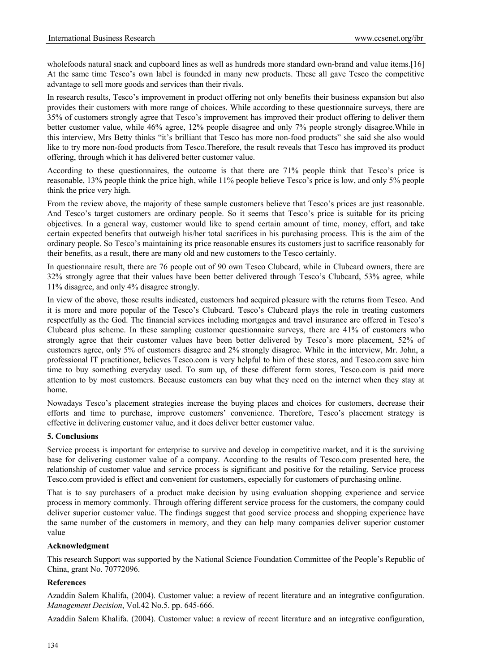wholefoods natural snack and cupboard lines as well as hundreds more standard own-brand and value items.[16] At the same time Tesco's own label is founded in many new products. These all gave Tesco the competitive advantage to sell more goods and services than their rivals.

In research results, Tesco's improvement in product offering not only benefits their business expansion but also provides their customers with more range of choices. While according to these questionnaire surveys, there are 35% of customers strongly agree that Tesco's improvement has improved their product offering to deliver them better customer value, while 46% agree, 12% people disagree and only 7% people strongly disagree.While in this interview, Mrs Betty thinks "it's brilliant that Tesco has more non-food products" she said she also would like to try more non-food products from Tesco.Therefore, the result reveals that Tesco has improved its product offering, through which it has delivered better customer value.

According to these questionnaires, the outcome is that there are 71% people think that Tesco's price is reasonable, 13% people think the price high, while 11% people believe Tesco's price is low, and only 5% people think the price very high.

From the review above, the majority of these sample customers believe that Tesco's prices are just reasonable. And Tesco's target customers are ordinary people. So it seems that Tesco's price is suitable for its pricing objectives. In a general way, customer would like to spend certain amount of time, money, effort, and take certain expected benefits that outweigh his/her total sacrifices in his purchasing process. This is the aim of the ordinary people. So Tesco's maintaining its price reasonable ensures its customers just to sacrifice reasonably for their benefits, as a result, there are many old and new customers to the Tesco certainly.

In questionnaire result, there are 76 people out of 90 own Tesco Clubcard, while in Clubcard owners, there are 32% strongly agree that their values have been better delivered through Tesco's Clubcard, 53% agree, while 11% disagree, and only 4% disagree strongly.

In view of the above, those results indicated, customers had acquired pleasure with the returns from Tesco. And it is more and more popular of the Tesco's Clubcard. Tesco's Clubcard plays the role in treating customers respectfully as the God. The financial services including mortgages and travel insurance are offered in Tesco's Clubcard plus scheme. In these sampling customer questionnaire surveys, there are 41% of customers who strongly agree that their customer values have been better delivered by Tesco's more placement, 52% of customers agree, only 5% of customers disagree and 2% strongly disagree. While in the interview, Mr. John, a professional IT practitioner, believes Tesco.com is very helpful to him of these stores, and Tesco.com save him time to buy something everyday used. To sum up, of these different form stores, Tesco.com is paid more attention to by most customers. Because customers can buy what they need on the internet when they stay at home.

Nowadays Tesco's placement strategies increase the buying places and choices for customers, decrease their efforts and time to purchase, improve customers' convenience. Therefore, Tesco's placement strategy is effective in delivering customer value, and it does deliver better customer value.

## **5. Conclusions**

Service process is important for enterprise to survive and develop in competitive market, and it is the surviving base for delivering customer value of a company. According to the results of Tesco.com presented here, the relationship of customer value and service process is significant and positive for the retailing. Service process Tesco.com provided is effect and convenient for customers, especially for customers of purchasing online.

That is to say purchasers of a product make decision by using evaluation shopping experience and service process in memory commonly. Through offering different service process for the customers, the company could deliver superior customer value. The findings suggest that good service process and shopping experience have the same number of the customers in memory, and they can help many companies deliver superior customer value

## **Acknowledgment**

This research Support was supported by the National Science Foundation Committee of the People's Republic of China, grant No. 70772096.

## **References**

Azaddin Salem Khalifa, (2004). Customer value: a review of recent literature and an integrative configuration. *Management Decision*, Vol.42 No.5. pp. 645-666.

Azaddin Salem Khalifa. (2004). Customer value: a review of recent literature and an integrative configuration,